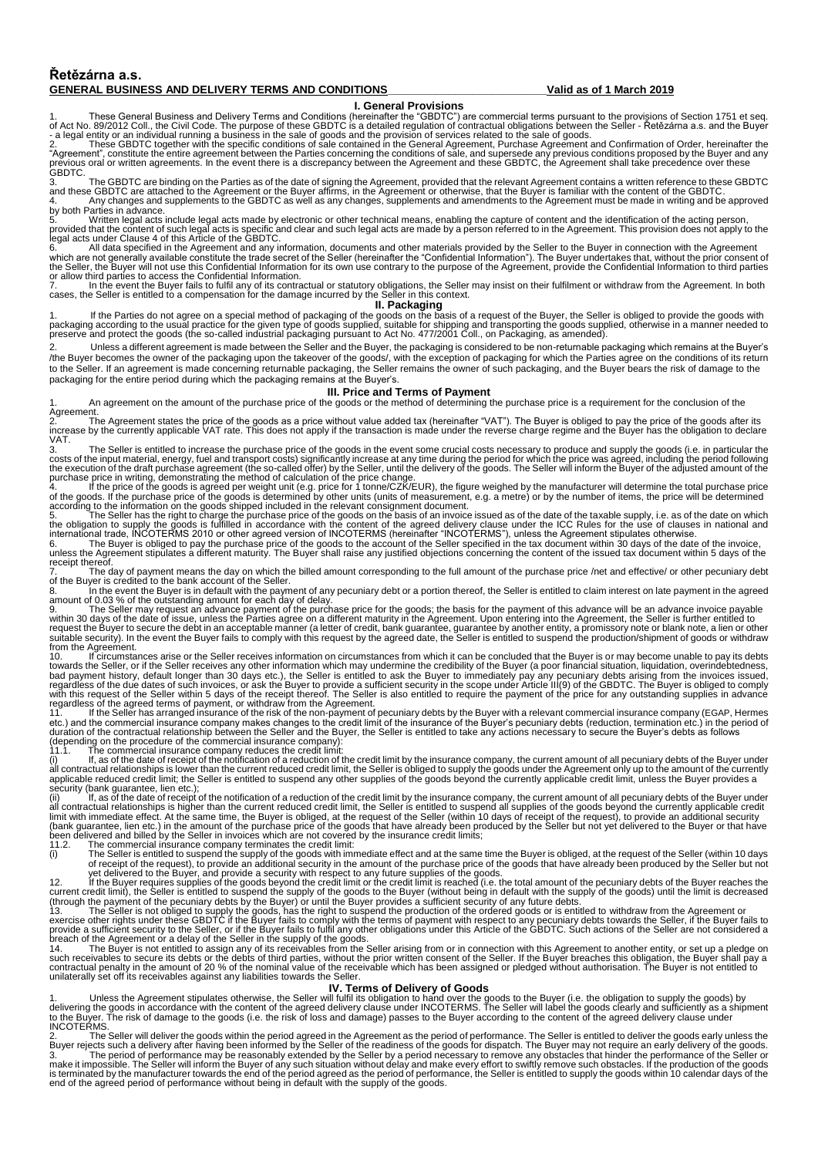## **Řetězárna a.s. GENERAL BUSINESS AND DELIVERY TERMS AND CONDITIONS\_\_\_\_\_\_\_\_\_\_\_\_\_\_\_\_\_\_\_\_\_\_\_\_\_\_Valid as of 1 March 2019**

1. These General Business and Delivery Terms and Conditions (**General Provisions**<br>of Act No. 89/2012 Coll., the Civil Code. The purpose of these GBDTC is a detailed regulation of contractual obligations between the Seller

3. The GBDTC are binding on the Parties as of the date of signing the Agreement, provided that the relevant Agreement contains a written reference to these GBDTC<br>and these GBDTC are attached to the Agreement or the Buyer a

5. Written legal acts include legal acts made by electronic or other technical means, enabling the capture of content and the identification of the acting person,<br>provided that the content of such legal acts is specific an or allow third parties to access the Confidential Information.<br>7

In the event the Buyer fails to fulfil any of its contractual or statutory obligations, the Seller may insist on their fulfilment or withdraw from the Agreement. In both

cases, the Seller is entitled to a compensation for the damage incurred by the Seller in this context.<br>1. **Packaging**<br>packaging according to the usual practice for the given type of goods supplied, suitable for shipping an

2. Unless a different agreement is made between the Seller and the Buyer, the packaging is considered to be non-returnable packaging which remains at the Buyer's /the Buyer becomes the owner of the packaging upon the takeover of the goods/, with the exception of packaging for which the Parties agree on the conditions of its return to the Seller. If an agreement is made concerning returnable packaging, the Seller remains the owner of such packaging, and the Buyer bears the risk of damage to the packaging for the entire period during which the packaging remains at the Buyer's.

**III. Price and Terms of Payment**<br>1. An agreement on the amount of the purchase price of the goods or the method of determining the purchase price is a requirement for the conclusion of the

Agreement.<br>2. The Agreement states the price of the goods as a price without value added tax (hereinafter "VAT"). The Buyer is obliged to pay the price of the goods after its<br>increase by the currently applicable VAT VAT.

3. The Seller is entitled to increase the purchase price of the goods in the event some crucial costs necessary to produce and supply the goods (i.e. in particular the costs of the input material, energy, fuel and transpor

receipt thereof.<br>7. The day of payment means the day on which the billed amount corresponding to the full amount of the purchase price /net and effective/ or other pecuniary debt

of the Buyer is credited to the bank account of the Seller.<br>8. Noting the event the Buyer is in default with the payment of any pecuniary debt or a portion thereof, the Seller is entitled to claim interest on late payment

amount of 0.03 % of the outstanding amount for each day of delay.<br>9. The Seller may request an advance payment of the purchase price for the goods; the basis for the payment of this advance will be an advance invoice payab from the Agreement.<br>
10. If circumstances arise or the Seller receives information on circumstances from which it can be concluded that the Buyer is or may become unable to pay its debts

10. If circumstrances arise or the Seller receives information on circumstrances from which it can be concluded that the Buyer is or may become unable to pay its debts<br>towards the Seller, or if the Seller receives any othe

If, as of the date of receipt of the notification of a reduction of the credit limit by the insurance company, the current amount of all pecuniary debts of the Buyer under<br>all contractual relationships is higher than the c

yet delivered to the Buyer, and provide a security with respect to any future supplies of the goods.<br>12. If the Buyer requires supplies of the goods beyond the credit limit or the credit limit is reaches the creation of th

1. Unless the Agreement stipulates otherwise, the Seller will fulfil its obligation to hand over the goods to the Buyer (i.e. the obligation to supply the goods) by<br>delivering the goods in accordance with the content of th

2. The Seller will deliver the goods within the period agreed in the Agreement as the period of performance. The Seller is entitled to deliver the goods early unless the Buyer rejects such a delivery after having been info end of the agreed period of performance without being in default with the supply of the goods.